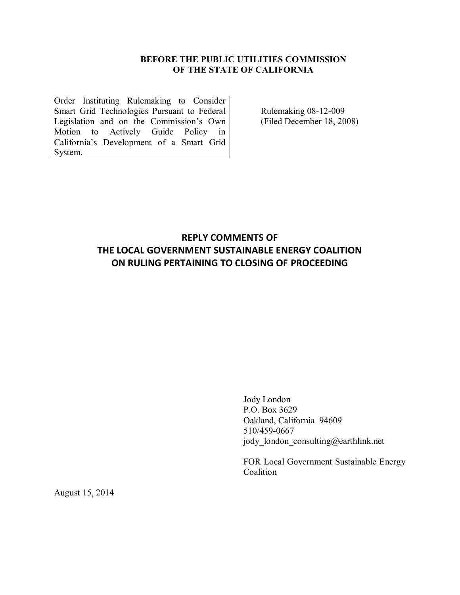## **BEFORE THE PUBLIC UTILITIES COMMISSION OF THE STATE OF CALIFORNIA**

Order Instituting Rulemaking to Consider Smart Grid Technologies Pursuant to Federal Legislation and on the Commission's Own Motion to Actively Guide Policy in California's Development of a Smart Grid System.

Rulemaking 08-12-009 (Filed December 18, 2008)

## **REPLY COMMENTS OF THE LOCAL GOVERNMENT SUSTAINABLE ENERGY COALITION ON RULING PERTAINING TO CLOSING OF PROCEEDING**

Jody London P.O. Box 3629 Oakland, California 94609 510/459-0667 jody\_london\_consulting@earthlink.net

FOR Local Government Sustainable Energy Coalition

August 15, 2014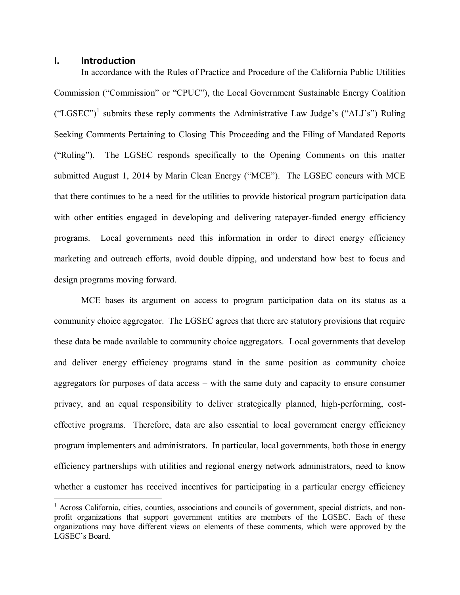## **I. Introduction**

 $\overline{a}$ 

In accordance with the Rules of Practice and Procedure of the California Public Utilities Commission ("Commission" or "CPUC"), the Local Government Sustainable Energy Coalition ("LGSEC")<sup>1</sup> submits these reply comments the Administrative Law Judge's ("ALJ's") Ruling Seeking Comments Pertaining to Closing This Proceeding and the Filing of Mandated Reports ("Ruling"). The LGSEC responds specifically to the Opening Comments on this matter submitted August 1, 2014 by Marin Clean Energy ("MCE"). The LGSEC concurs with MCE that there continues to be a need for the utilities to provide historical program participation data with other entities engaged in developing and delivering ratepayer-funded energy efficiency programs. Local governments need this information in order to direct energy efficiency marketing and outreach efforts, avoid double dipping, and understand how best to focus and design programs moving forward.

MCE bases its argument on access to program participation data on its status as a community choice aggregator. The LGSEC agrees that there are statutory provisions that require these data be made available to community choice aggregators. Local governments that develop and deliver energy efficiency programs stand in the same position as community choice aggregators for purposes of data access – with the same duty and capacity to ensure consumer privacy, and an equal responsibility to deliver strategically planned, high-performing, costeffective programs. Therefore, data are also essential to local government energy efficiency program implementers and administrators. In particular, local governments, both those in energy efficiency partnerships with utilities and regional energy network administrators, need to know whether a customer has received incentives for participating in a particular energy efficiency

<sup>&</sup>lt;sup>1</sup> Across California, cities, counties, associations and councils of government, special districts, and nonprofit organizations that support government entities are members of the LGSEC. Each of these organizations may have different views on elements of these comments, which were approved by the LGSEC's Board.